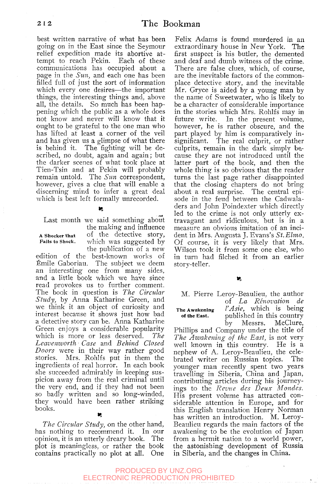best written narrative of what has been going on in the East since the Seymour relief expedition made its abortive attempt to reach Pekin. Each of these communications has occupied about a page in the *Sun,* and each one has been filled full of just the sort of information which every one desires—the important things, the interesting things and, above all, the details. So much has been happening which the public as a whole does not know and never will know that it ought to be grateful to the one man who has lifted at least a corner of the veil and has given us a glimpse of what there is behind it. The fighting will be described, no doubt, again and again; but the darker scenes of what took place at Tien-Tsin and at Pekin will probably remain untold. The *Sun* correspondent, however, gives a clue that will enable a discerning mind to infer a great deal which is best left formally unrecorded.

Last month we said something about

the making and influence A shocker that of the detective story, Fails to shock. which was suggested by

the publication of a new edition of the best-known works of fonile Gaboriau. The subject we deem an interesting one from many sides, and a little book which we have since read provokes us to further comment. The book in question is *The Circular Study,* by Anna Katharine Green, and we think it an object of curiosity and interest because it shows just how bad a detective story can be. Anna Katharine Green enjoys a considerable popularity which is more or less deserved. *The Leavenworth • Case* and *Behind Closed Doors* were in their way rather good stories. Mrs. Rohlfs put in them the ingredients of real horror. In each book she succeeded admirably in keeping suspicion away from the real criminal until the very end, and if they had not been so badly written and so long-winded, they would have been rather striking books.  $\mathbf{r}_\mathrm{c}$ 

*The Circular Study,* on the other hand, has nothing to recommend it. In our opinion, it is an utterly dreary book. The plot is meaningless, or rather the book contains practically no plot at all. One

Felix Adams is found murdered in an extraordinary house in New York. The first suspect is his butler, the demented and deaf and dumb witness of the crime. There are false clues, which, of course, are the inevitable factors of the commonplace detective story, and the inevitable Mr. Gryce is aided by a young man by the name of Sweetwater, who is likely to be a character of considerable importance in the stories which Mrs. Rohlfs may in future write. In the present volume, however, he is rather obscure, and the part played by him is comparatively insignificant. The real culprit, or rather culprits, remain in the dark simply because they are not introduced until the latter part of the book, and then the whole thing is so obvious that the reader turns the last page rather disappointed that the closing chapters do not bring about a real surprise. The central episode in the feud between the Cadwaladers and John Poindexter which directly led to the crime is not only utterly extravagant and ridiculous, but is in a measure an obvious imitation of an incident in Mrs. Augusta J. Evans's *St. Elmo,*  Of course, it is very likely that Mrs. Wilson took it from some one else, who in turn had filched it from an earlier story-teller.

 $\mathbf{r}$ 

M. Pierre Leroy-Beaulieu, the author of *La Renovation de* 

The Awakening *YAsie,* which is being of the East. published in this country<br>by Messrs. McClure. by Messrs.

Phillips and Company under the title of *The Awakening of the East,* is not very well known in this country. He is a nephew of A. Leroy-Beaulieu, the celebrated writer on Russian topics. The younger man recently spent two years travelling in Siberia, China and Japan, contributing articles during his journeyings to the *Revue des Deux Mondes.*  His present volume has attracted considerable attention in Europe, and for this English translation Henry Norman has written an introduction. M. Leroy-Beaulieu regards the main factors of the awakening to be the evolution of Japan from a hermit nation to a world power, the astonishing development of Russia in Siberia, and the changes in China.

## PRODUCED BY UNZ.ORG ELECTRONIC REPRODUCTION PROHIBITED